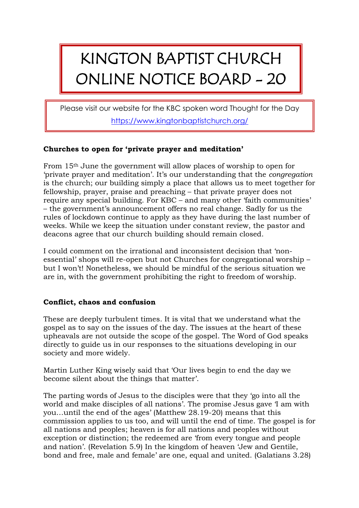## KINGTON BAPTIST CHURCH ONLINE NOTICE BOARD - 20

Please visit our website for the KBC spoken word Thought for the Day <https://www.kingtonbaptistchurch.org/>

## **Churches to open for 'private prayer and meditation'**

From 15th June the government will allow places of worship to open for 'private prayer and meditation'. It's our understanding that the *congregation* is the church; our building simply a place that allows us to meet together for fellowship, prayer, praise and preaching – that private prayer does not require any special building. For KBC – and many other 'faith communities' – the government's announcement offers no real change. Sadly for us the rules of lockdown continue to apply as they have during the last number of weeks. While we keep the situation under constant review, the pastor and deacons agree that our church building should remain closed.

I could comment on the irrational and inconsistent decision that 'nonessential' shops will re-open but not Churches for congregational worship – but I won't! Nonetheless, we should be mindful of the serious situation we are in, with the government prohibiting the right to freedom of worship.

## **Conflict, chaos and confusion**

These are deeply turbulent times. It is vital that we understand what the gospel as to say on the issues of the day. The issues at the heart of these upheavals are not outside the scope of the gospel. The Word of God speaks directly to guide us in our responses to the situations developing in our society and more widely.

Martin Luther King wisely said that 'Our lives begin to end the day we become silent about the things that matter'.

The parting words of Jesus to the disciples were that they 'go into all the world and make disciples of all nations'. The promise Jesus gave 'I am with you…until the end of the ages' (Matthew 28.19-20) means that this commission applies to us too, and will until the end of time. The gospel is for all nations and peoples; heaven is for all nations and peoples without exception or distinction; the redeemed are 'from every tongue and people and nation'. (Revelation 5.9) In the kingdom of heaven 'Jew and Gentile, bond and free, male and female' are one, equal and united. (Galatians 3.28)